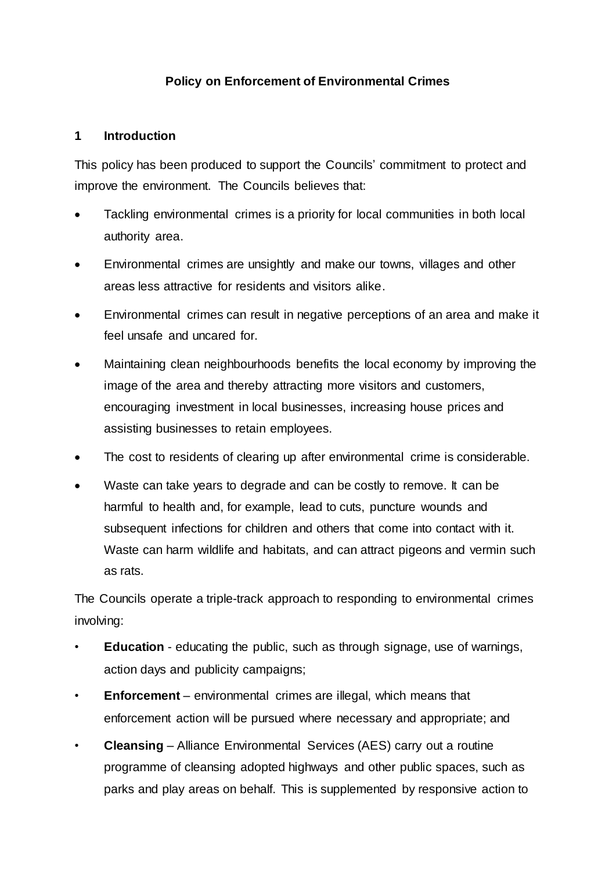## **Policy on Enforcement of Environmental Crimes**

#### **1 Introduction**

This policy has been produced to support the Councils' commitment to protect and improve the environment. The Councils believes that:

- Tackling environmental crimes is a priority for local communities in both local authority area.
- Environmental crimes are unsightly and make our towns, villages and other areas less attractive for residents and visitors alike.
- Environmental crimes can result in negative perceptions of an area and make it feel unsafe and uncared for.
- Maintaining clean neighbourhoods benefits the local economy by improving the image of the area and thereby attracting more visitors and customers, encouraging investment in local businesses, increasing house prices and assisting businesses to retain employees.
- The cost to residents of clearing up after environmental crime is considerable.
- Waste can take years to degrade and can be costly to remove. It can be harmful to health and, for example, lead to cuts, puncture wounds and subsequent infections for children and others that come into contact with it. Waste can harm wildlife and habitats, and can attract pigeons and vermin such as rats.

The Councils operate a triple-track approach to responding to environmental crimes involving:

- **Education** educating the public, such as through signage, use of warnings, action days and publicity campaigns;
- **Enforcement** environmental crimes are illegal, which means that enforcement action will be pursued where necessary and appropriate; and
- **Cleansing** Alliance Environmental Services (AES) carry out a routine programme of cleansing adopted highways and other public spaces, such as parks and play areas on behalf. This is supplemented by responsive action to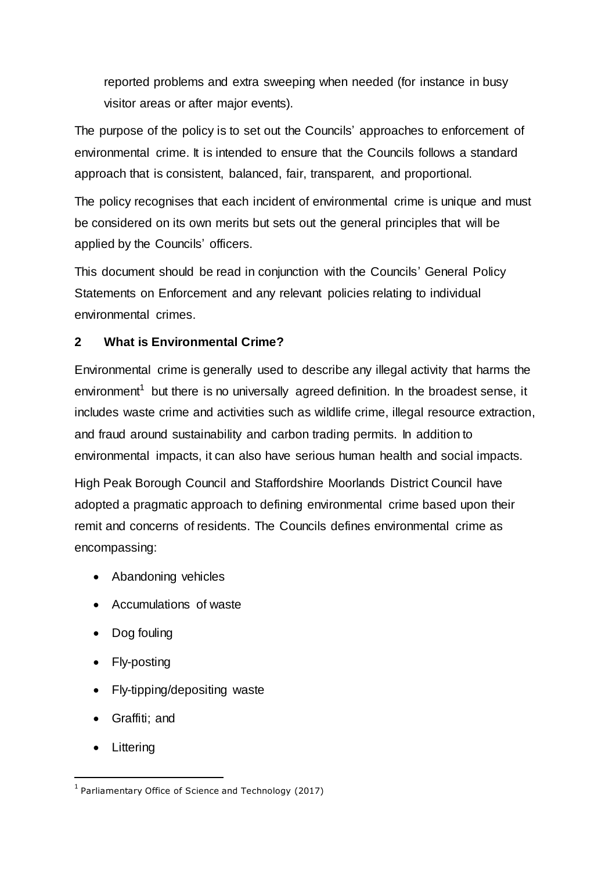reported problems and extra sweeping when needed (for instance in busy visitor areas or after major events).

The purpose of the policy is to set out the Councils' approaches to enforcement of environmental crime. It is intended to ensure that the Councils follows a standard approach that is consistent, balanced, fair, transparent, and proportional.

The policy recognises that each incident of environmental crime is unique and must be considered on its own merits but sets out the general principles that will be applied by the Councils' officers.

This document should be read in conjunction with the Councils' General Policy Statements on Enforcement and any relevant policies relating to individual environmental crimes.

## **2 What is Environmental Crime?**

Environmental crime is generally used to describe any illegal activity that harms the environment<sup>1</sup> but there is no universally agreed definition. In the broadest sense, it includes waste crime and activities such as wildlife crime, illegal resource extraction, and fraud around sustainability and carbon trading permits. In addition to environmental impacts, it can also have serious human health and social impacts.

High Peak Borough Council and Staffordshire Moorlands District Council have adopted a pragmatic approach to defining environmental crime based upon their remit and concerns of residents. The Councils defines environmental crime as encompassing:

- Abandoning vehicles
- Accumulations of waste
- Dog fouling
- Fly-posting
- Fly-tipping/depositing waste
- Graffiti; and
- Littering

 $\overline{a}$ 

 $<sup>1</sup>$  Parliamentary Office of Science and Technology (2017)</sup>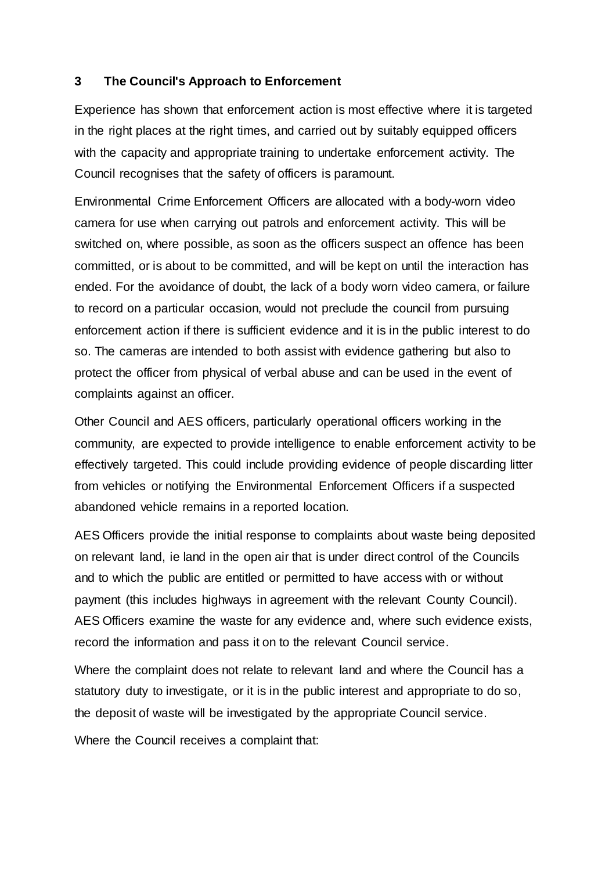#### **3 The Council's Approach to Enforcement**

Experience has shown that enforcement action is most effective where it is targeted in the right places at the right times, and carried out by suitably equipped officers with the capacity and appropriate training to undertake enforcement activity. The Council recognises that the safety of officers is paramount.

Environmental Crime Enforcement Officers are allocated with a body-worn video camera for use when carrying out patrols and enforcement activity. This will be switched on, where possible, as soon as the officers suspect an offence has been committed, or is about to be committed, and will be kept on until the interaction has ended. For the avoidance of doubt, the lack of a body worn video camera, or failure to record on a particular occasion, would not preclude the council from pursuing enforcement action if there is sufficient evidence and it is in the public interest to do so. The cameras are intended to both assist with evidence gathering but also to protect the officer from physical of verbal abuse and can be used in the event of complaints against an officer.

Other Council and AES officers, particularly operational officers working in the community, are expected to provide intelligence to enable enforcement activity to be effectively targeted. This could include providing evidence of people discarding litter from vehicles or notifying the Environmental Enforcement Officers if a suspected abandoned vehicle remains in a reported location.

AES Officers provide the initial response to complaints about waste being deposited on relevant land, ie land in the open air that is under direct control of the Councils and to which the public are entitled or permitted to have access with or without payment (this includes highways in agreement with the relevant County Council). AES Officers examine the waste for any evidence and, where such evidence exists, record the information and pass it on to the relevant Council service.

Where the complaint does not relate to relevant land and where the Council has a statutory duty to investigate, or it is in the public interest and appropriate to do so, the deposit of waste will be investigated by the appropriate Council service.

Where the Council receives a complaint that: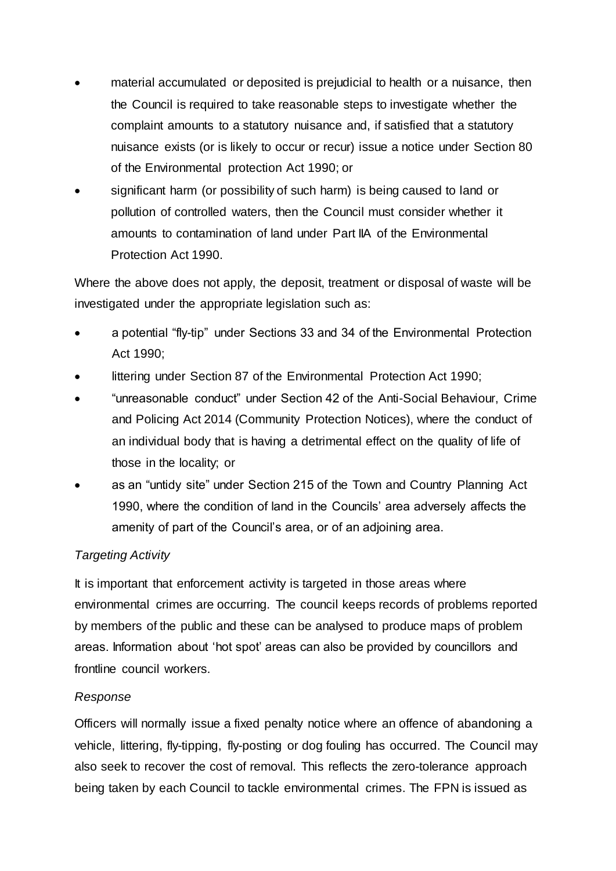- material accumulated or deposited is prejudicial to health or a nuisance, then the Council is required to take reasonable steps to investigate whether the complaint amounts to a statutory nuisance and, if satisfied that a statutory nuisance exists (or is likely to occur or recur) issue a notice under Section 80 of the Environmental protection Act 1990; or
- significant harm (or possibility of such harm) is being caused to land or pollution of controlled waters, then the Council must consider whether it amounts to contamination of land under Part IIA of the Environmental Protection Act 1990.

Where the above does not apply, the deposit, treatment or disposal of waste will be investigated under the appropriate legislation such as:

- a potential "fly-tip" under Sections 33 and 34 of the Environmental Protection Act 1990;
- littering under Section 87 of the Environmental Protection Act 1990;
- "unreasonable conduct" under Section 42 of the Anti-Social Behaviour, Crime and Policing Act 2014 (Community Protection Notices), where the conduct of an individual body that is having a detrimental effect on the quality of life of those in the locality; or
- as an "untidy site" under Section 215 of the Town and Country Planning Act 1990, where the condition of land in the Councils' area adversely affects the amenity of part of the Council's area, or of an adjoining area.

# *Targeting Activity*

It is important that enforcement activity is targeted in those areas where environmental crimes are occurring. The council keeps records of problems reported by members of the public and these can be analysed to produce maps of problem areas. Information about 'hot spot' areas can also be provided by councillors and frontline council workers.

### *Response*

Officers will normally issue a fixed penalty notice where an offence of abandoning a vehicle, littering, fly-tipping, fly-posting or dog fouling has occurred. The Council may also seek to recover the cost of removal. This reflects the zero-tolerance approach being taken by each Council to tackle environmental crimes. The FPN is issued as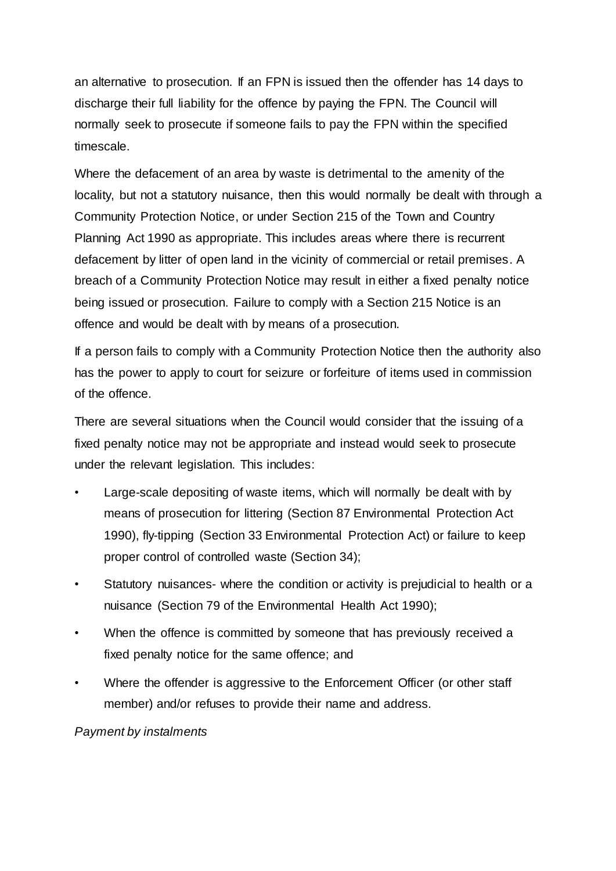an alternative to prosecution. If an FPN is issued then the offender has 14 days to discharge their full liability for the offence by paying the FPN. The Council will normally seek to prosecute if someone fails to pay the FPN within the specified timescale.

Where the defacement of an area by waste is detrimental to the amenity of the locality, but not a statutory nuisance, then this would normally be dealt with through a Community Protection Notice, or under Section 215 of the Town and Country Planning Act 1990 as appropriate. This includes areas where there is recurrent defacement by litter of open land in the vicinity of commercial or retail premises. A breach of a Community Protection Notice may result in either a fixed penalty notice being issued or prosecution. Failure to comply with a Section 215 Notice is an offence and would be dealt with by means of a prosecution.

If a person fails to comply with a Community Protection Notice then the authority also has the power to apply to court for seizure or forfeiture of items used in commission of the offence.

There are several situations when the Council would consider that the issuing of a fixed penalty notice may not be appropriate and instead would seek to prosecute under the relevant legislation. This includes:

- Large-scale depositing of waste items, which will normally be dealt with by means of prosecution for littering (Section 87 Environmental Protection Act 1990), fly-tipping (Section 33 Environmental Protection Act) or failure to keep proper control of controlled waste (Section 34);
- Statutory nuisances- where the condition or activity is prejudicial to health or a nuisance (Section 79 of the Environmental Health Act 1990);
- When the offence is committed by someone that has previously received a fixed penalty notice for the same offence; and
- Where the offender is aggressive to the Enforcement Officer (or other staff member) and/or refuses to provide their name and address.

*Payment by instalments*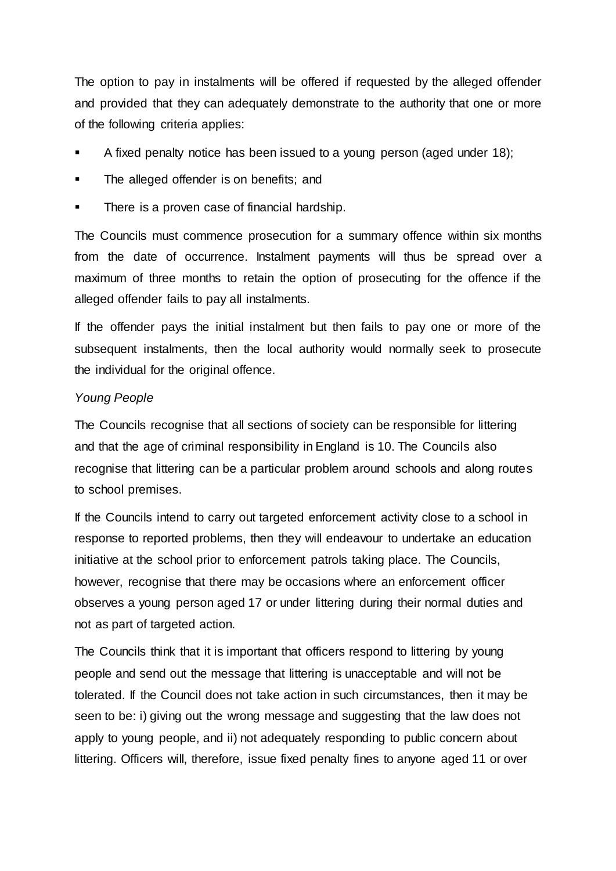The option to pay in instalments will be offered if requested by the alleged offender and provided that they can adequately demonstrate to the authority that one or more of the following criteria applies:

- A fixed penalty notice has been issued to a young person (aged under 18);
- The alleged offender is on benefits; and
- There is a proven case of financial hardship.

The Councils must commence prosecution for a summary offence within six months from the date of occurrence. Instalment payments will thus be spread over a maximum of three months to retain the option of prosecuting for the offence if the alleged offender fails to pay all instalments.

If the offender pays the initial instalment but then fails to pay one or more of the subsequent instalments, then the local authority would normally seek to prosecute the individual for the original offence.

#### *Young People*

The Councils recognise that all sections of society can be responsible for littering and that the age of criminal responsibility in England is 10. The Councils also recognise that littering can be a particular problem around schools and along routes to school premises.

If the Councils intend to carry out targeted enforcement activity close to a school in response to reported problems, then they will endeavour to undertake an education initiative at the school prior to enforcement patrols taking place. The Councils, however, recognise that there may be occasions where an enforcement officer observes a young person aged 17 or under littering during their normal duties and not as part of targeted action.

The Councils think that it is important that officers respond to littering by young people and send out the message that littering is unacceptable and will not be tolerated. If the Council does not take action in such circumstances, then it may be seen to be: i) giving out the wrong message and suggesting that the law does not apply to young people, and ii) not adequately responding to public concern about littering. Officers will, therefore, issue fixed penalty fines to anyone aged 11 or over